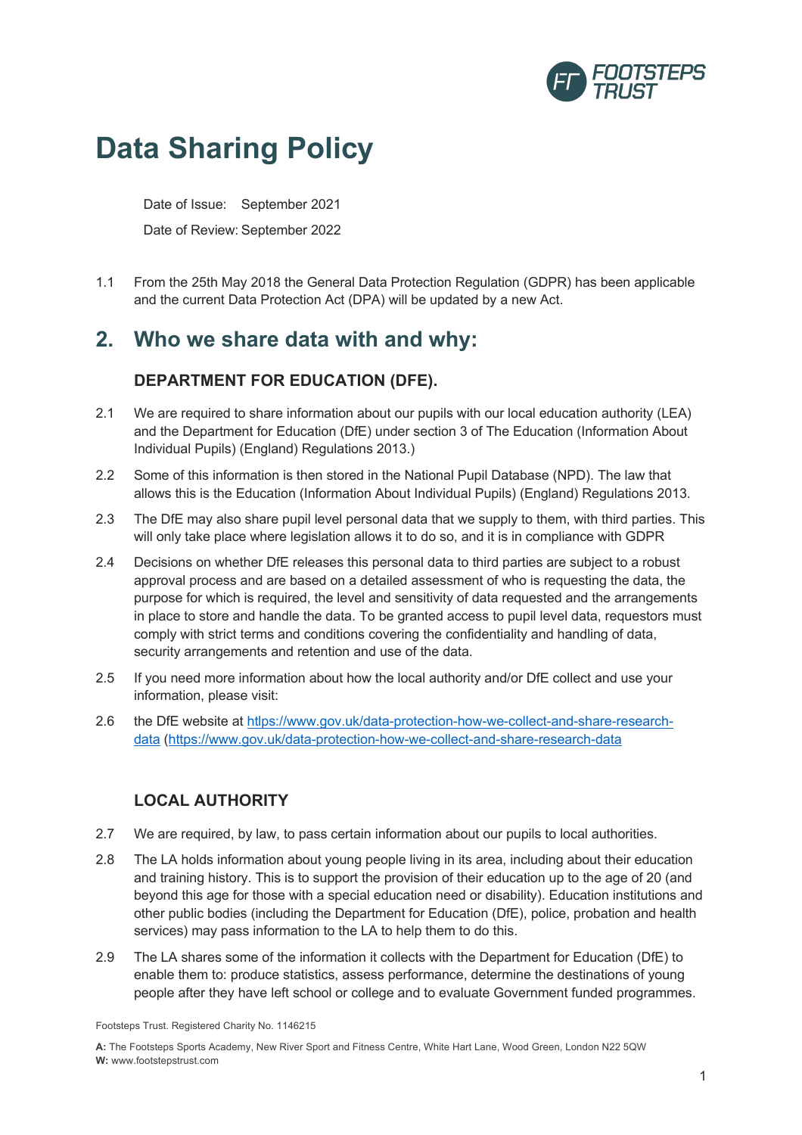

# **Data Sharing Policy**

Date of Issue: September 2021 Date of Review: September 2022

1.1 From the 25th May 2018 the General Data Protection Regulation (GDPR) has been applicable and the current Data Protection Act (DPA) will be updated by a new Act.

# **2. Who we share data with and why:**

### **DEPARTMENT FOR EDUCATION (DFE).**

- 2.1 We are required to share information about our pupils with our local education authority (LEA) and the Department for Education (DfE) under section 3 of The Education (Information About Individual Pupils) (England) Regulations 2013.)
- 2.2 Some of this information is then stored in the National Pupil Database (NPD). The law that allows this is the Education (Information About Individual Pupils) (England) Regulations 2013.
- 2.3 The DfE may also share pupil level personal data that we supply to them, with third parties. This will only take place where legislation allows it to do so, and it is in compliance with GDPR
- 2.4 Decisions on whether DfE releases this personal data to third parties are subject to a robust approval process and are based on a detailed assessment of who is requesting the data, the purpose for which is required, the level and sensitivity of data requested and the arrangements in place to store and handle the data. To be granted access to pupil level data, requestors must comply with strict terms and conditions covering the confidentiality and handling of data, security arrangements and retention and use of the data.
- 2.5 If you need more information about how the local authority and/or DfE collect and use your information, please visit:
- 2.6 the DfE website at htlps://www.gov.uk/data-protection-how-we-collect-and-share-researchdata (https://www.gov.uk/data-protection-how-we-collect-and-share-research-data

## **LOCAL AUTHORITY**

- 2.7 We are required, by law, to pass certain information about our pupils to local authorities.
- 2.8 The LA holds information about young people living in its area, including about their education and training history. This is to support the provision of their education up to the age of 20 (and beyond this age for those with a special education need or disability). Education institutions and other public bodies (including the Department for Education (DfE), police, probation and health services) may pass information to the LA to help them to do this.
- 2.9 The LA shares some of the information it collects with the Department for Education (DfE) to enable them to: produce statistics, assess performance, determine the destinations of young people after they have left school or college and to evaluate Government funded programmes.

Footsteps Trust. Registered Charity No. 1146215

**A:** The Footsteps Sports Academy, New River Sport and Fitness Centre, White Hart Lane, Wood Green, London N22 5QW **W:** www.footstepstrust.com